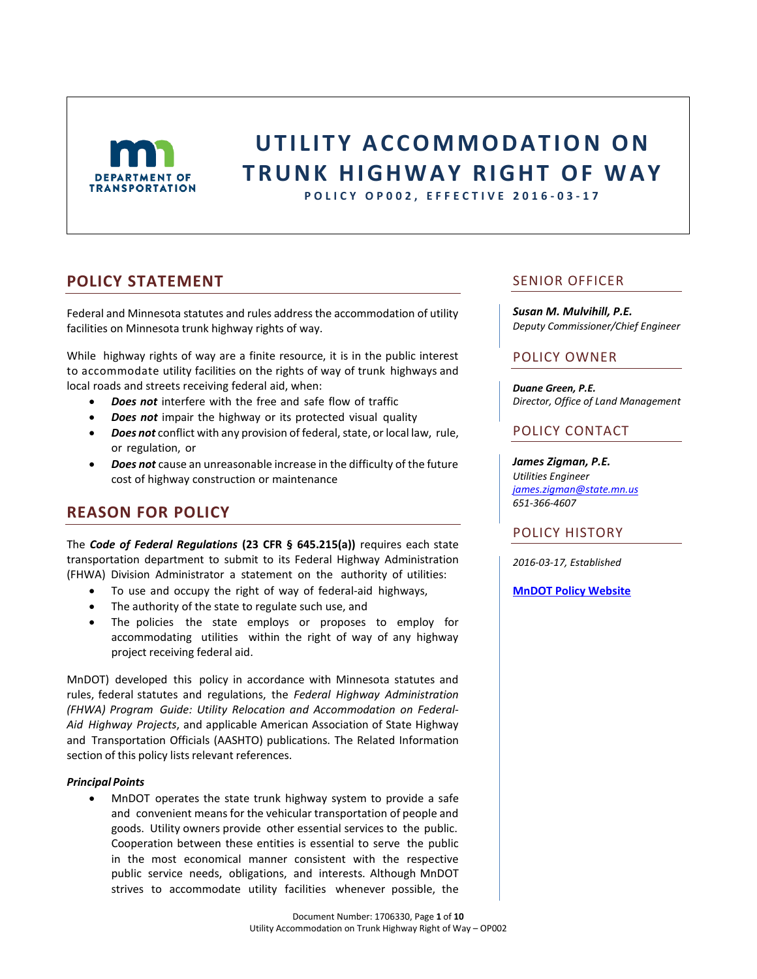

# **U T I L I T Y A C C O M M O D A T I ON O N T R U N K H I G H W A Y R I G H T O F W A Y**

**P O L I C Y OP00 2 , E F F E C T I V E 2016 - 0 3 - 1 7**

### **POLICY STATEMENT**

Federal and Minnesota statutes and rules address the accommodation of utility facilities on Minnesota trunk highway rights of way.

While highway rights of way are a finite resource, it is in the public interest to accommodate utility facilities on the rights of way of trunk highways and local roads and streets receiving federal aid, when:

- *Does not* interfere with the free and safe flow of traffic
- *Does not* impair the highway or its protected visual quality
- *Does not* conflict with any provision of federal, state, or local law, rule, or regulation, or
- *Does not* cause an unreasonable increase in the difficulty of the future cost of highway construction or maintenance

### **REASON FOR POLICY**

The *Code of Federal Regulations* **(23 CFR § 645.215(a))** requires each state transportation department to submit to its Federal Highway Administration (FHWA) Division Administrator a statement on the authority of utilities:

- To use and occupy the right of way of federal-aid highways,
- The authority of the state to regulate such use, and
- The policies the state employs or proposes to employ for accommodating utilities within the right of way of any highway project receiving federal aid.

MnDOT) developed this policy in accordance with Minnesota statutes and rules, federal statutes and regulations, the *Federal Highway Administration (FHWA) Program Guide: Utility Relocation and Accommodation on Federal-Aid Highway Projects*, and applicable American Association of State Highway and Transportation Officials (AASHTO) publications. The Related Information section of this policy lists relevant references.

#### *Principal Points*

 MnDOT operates the state trunk highway system to provide a safe and convenient means for the vehicular transportation of people and goods. Utility owners provide other essential services to the public. Cooperation between these entities is essential to serve the public in the most economical manner consistent with the respective public service needs, obligations, and interests. Although MnDOT strives to accommodate utility facilities whenever possible, the

SENIOR OFFICER

*Susan M. Mulvihill, P.E. Deputy Commissioner/Chief Engineer*

### POLICY OWNER

*Duane Green, P.E. Director, Office of Land Management*

### POLICY CONTACT

*James Zigman, P.E. Utilities Engineer [james.zigman@state.mn.us](mailto:James.zigman@state.mn.us) 651-366-4607*

### POLICY HISTORY

*2016-03-17, Established*

**[MnDOT Policy Website](http://www.dot.state.mn.us/policy/index.html)**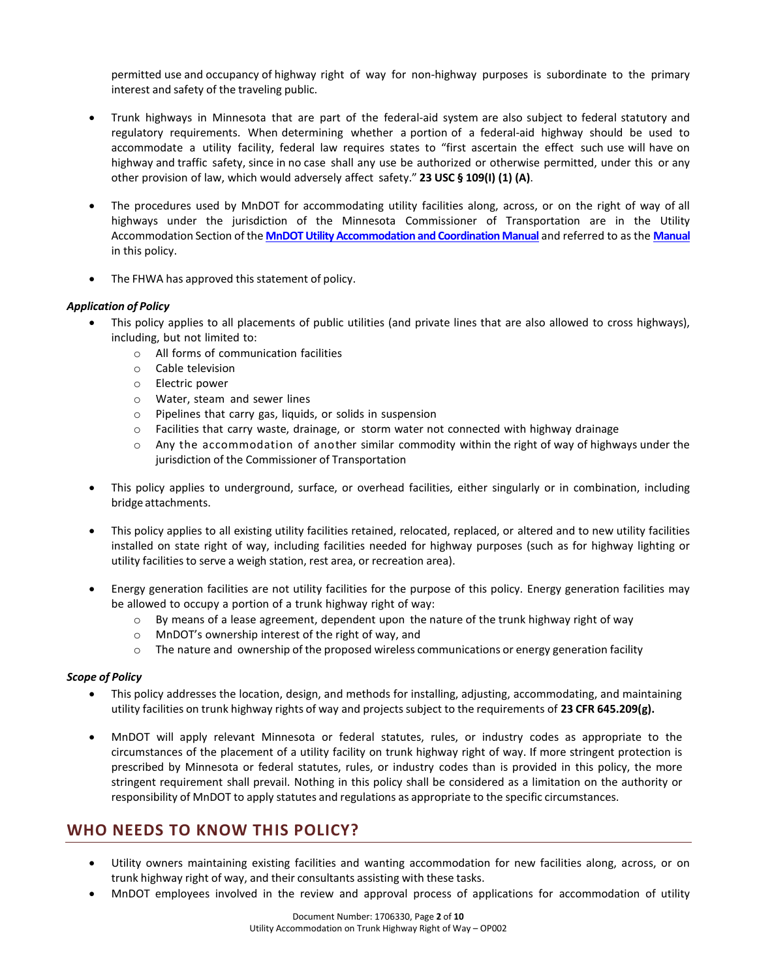permitted use and occupancy of highway right of way for non-highway purposes is subordinate to the primary interest and safety of the traveling public.

- Trunk highways in Minnesota that are part of the federal-aid system are also subject to federal statutory and regulatory requirements. When determining whether a portion of a federal-aid highway should be used to accommodate a utility facility, federal law requires states to "first ascertain the effect such use will have on highway and traffic safety, since in no case shall any use be authorized or otherwise permitted, under this or any other provision of law, which would adversely affect safety." **23 USC § 109(I) (1) (A)**.
- The procedures used by MnDOT for accommodating utility facilities along, across, or on the right of way of all highways under the jurisdiction of the Minnesota Commissioner of Transportation are in the Utility Accommodation Section ofthe **[MnDOT Utility Accommodation and Coordination Manual](http://dotapp7.dot.state.mn.us/cyberdocs_guest/quickstart.asp?show=view%3A1706321&noframes=yes)** and referred to as the **[Manual](http://dotapp7.dot.state.mn.us/cyberdocs_guest/quickstart.asp?show=view%3A1706321&noframes=yes)** in this policy.
- The FHWA has approved this statement of policy.

#### *Application of Policy*

- This policy applies to all placements of public utilities (and private lines that are also allowed to cross highways), including, but not limited to:
	- o All forms of communication facilities
	- o Cable television
	- o Electric power
	- o Water, steam and sewer lines
	- o Pipelines that carry gas, liquids, or solids in suspension
	- $\circ$  Facilities that carry waste, drainage, or storm water not connected with highway drainage
	- $\circ$  Any the accommodation of another similar commodity within the right of way of highways under the jurisdiction of the Commissioner of Transportation
- This policy applies to underground, surface, or overhead facilities, either singularly or in combination, including bridge attachments.
- This policy applies to all existing utility facilities retained, relocated, replaced, or altered and to new utility facilities installed on state right of way, including facilities needed for highway purposes (such as for highway lighting or utility facilities to serve a weigh station, rest area, or recreation area).
- Energy generation facilities are not utility facilities for the purpose of this policy. Energy generation facilities may be allowed to occupy a portion of a trunk highway right of way:
	- $\circ$  By means of a lease agreement, dependent upon the nature of the trunk highway right of way
	- o MnDOT's ownership interest of the right of way, and
	- $\circ$  The nature and ownership of the proposed wireless communications or energy generation facility

#### *Scope of Policy*

- This policy addresses the location, design, and methods for installing, adjusting, accommodating, and maintaining utility facilities on trunk highway rights of way and projectssubject to the requirements of **23 CFR 645.209(g).**
- MnDOT will apply relevant Minnesota or federal statutes, rules, or industry codes as appropriate to the circumstances of the placement of a utility facility on trunk highway right of way. If more stringent protection is prescribed by Minnesota or federal statutes, rules, or industry codes than is provided in this policy, the more stringent requirement shall prevail. Nothing in this policy shall be considered as a limitation on the authority or responsibility of MnDOT to apply statutes and regulations as appropriate to the specific circumstances.

## **WHO NEEDS TO KNOW THIS POLICY?**

- Utility owners maintaining existing facilities and wanting accommodation for new facilities along, across, or on trunk highway right of way, and their consultants assisting with these tasks.
	- MnDOT employees involved in the review and approval process of applications for accommodation of utility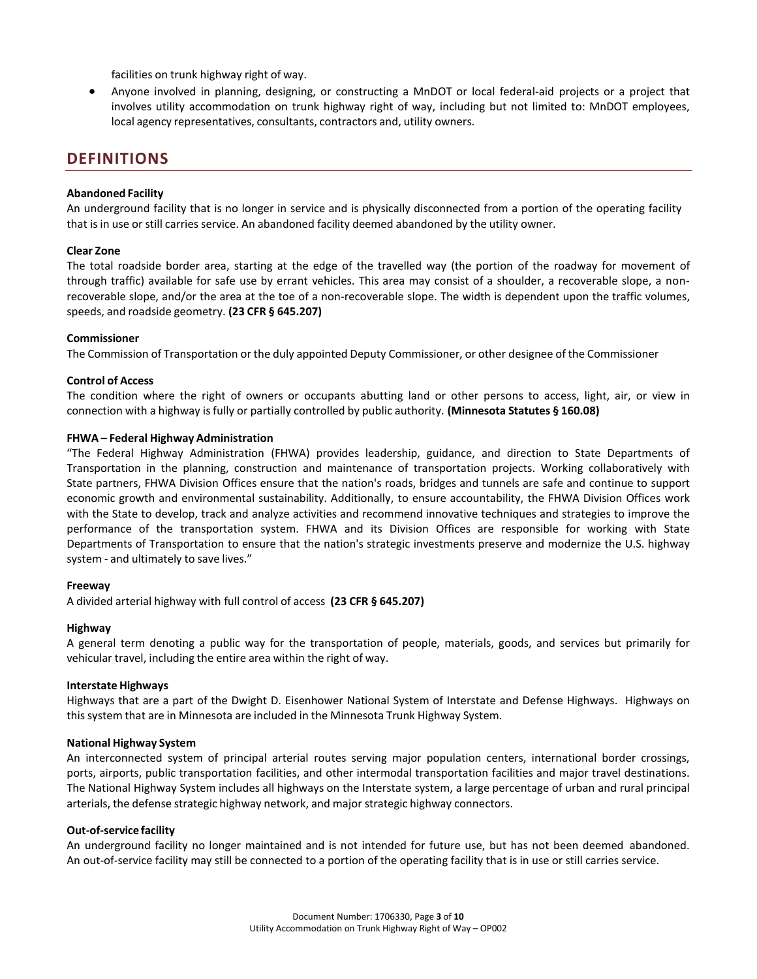facilities on trunk highway right of way.

 Anyone involved in planning, designing, or constructing a MnDOT or local federal-aid projects or a project that involves utility accommodation on trunk highway right of way, including but not limited to: MnDOT employees, local agency representatives, consultants, contractors and, utility owners.

### **DEFINITIONS**

#### **Abandoned Facility**

An underground facility that is no longer in service and is physically disconnected from a portion of the operating facility that is in use or still carries service. An abandoned facility deemed abandoned by the utility owner.

#### **Clear Zone**

The total roadside border area, starting at the edge of the travelled way (the portion of the roadway for movement of through traffic) available for safe use by errant vehicles. This area may consist of a shoulder, a recoverable slope, a nonrecoverable slope, and/or the area at the toe of a non-recoverable slope. The width is dependent upon the traffic volumes, speeds, and roadside geometry. **(23 CFR § 645.207)**

#### **Commissioner**

The Commission of Transportation or the duly appointed Deputy Commissioner, or other designee of the Commissioner

#### **Control of Access**

The condition where the right of owners or occupants abutting land or other persons to access, light, air, or view in connection with a highway isfully or partially controlled by public authority. **(Minnesota Statutes § 160.08)**

#### **FHWA – Federal Highway Administration**

"The Federal Highway Administration (FHWA) provides leadership, guidance, and direction to State Departments of Transportation in the planning, construction and maintenance of transportation projects. Working collaboratively with State partners, FHWA Division Offices ensure that the nation's roads, bridges and tunnels are safe and continue to support economic growth and environmental sustainability. Additionally, to ensure accountability, the FHWA Division Offices work with the State to develop, track and analyze activities and recommend innovative techniques and strategies to improve the performance of the transportation system. FHWA and its Division Offices are responsible for working with State Departments of Transportation to ensure that the nation's strategic investments preserve and modernize the U.S. highway system - and ultimately to save lives."

#### **Freeway**

A divided arterial highway with full control of access **(23 CFR § 645.207)**

#### **Highway**

A general term denoting a public way for the transportation of people, materials, goods, and services but primarily for vehicular travel, including the entire area within the right of way.

#### **Interstate Highways**

Highways that are a part of the Dwight D. Eisenhower National System of Interstate and Defense Highways. Highways on thissystem that are in Minnesota are included in the Minnesota Trunk Highway System.

#### **National Highway System**

An interconnected system of principal arterial routes serving major population centers, international border crossings, ports, airports, public transportation facilities, and other intermodal transportation facilities and major travel destinations. The National Highway System includes all highways on the Interstate system, a large percentage of urban and rural principal arterials, the defense strategic highway network, and major strategic highway connectors.

#### **Out-of-service facility**

An underground facility no longer maintained and is not intended for future use, but has not been deemed abandoned. An out-of-service facility may still be connected to a portion of the operating facility that is in use or still carries service.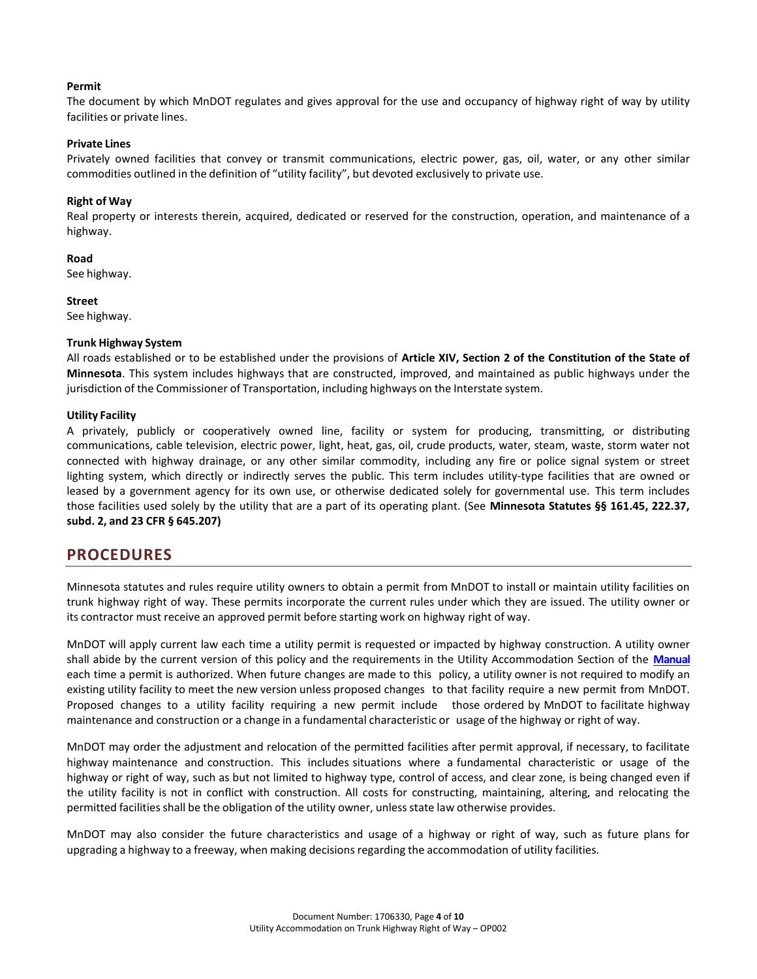#### **Permit**

The document by which MnDOT regulates and gives approval for the use and occupancy of highway right of way by utility facilities or private lines.

#### **Private Lines**

Privately owned facilities that convey or transmit communications, electric power, gas, oil, water, or any other similar commodities outlined in the definition of "utility facility", but devoted exclusively to private use.

#### **Right of Way**

Real property or interests therein, acquired, dedicated or reserved for the construction, operation, and maintenance of a highway.

**Road**

See highway.

**Street**

See highway.

#### **Trunk Highway System**

All roads established or to be established under the provisions of **Article XIV, Section 2 of the Constitution of the State of Minnesota**. This system includes highways that are constructed, improved, and maintained as public highways under the jurisdiction of the Commissioner of Transportation, including highways on the Interstate system.

#### **Utility Facility**

A privately, publicly or cooperatively owned line, facility or system for producing, transmitting, or distributing communications, cable television, electric power, light, heat, gas, oil, crude products, water, steam, waste, storm water not connected with highway drainage, or any other similar commodity, including any fire or police signal system or street lighting system, which directly or indirectly serves the public. This term includes utility-type facilities that are owned or leased by a government agency for its own use, or otherwise dedicated solely for governmental use. This term includes those facilities used solely by the utility that are a part of its operating plant. (See **Minnesota Statutes §§ 161.45, 222.37, subd. 2, and 23 CFR § 645.207)**

### **PROCEDURES**

Minnesota statutes and rules require utility owners to obtain a permit from MnDOT to install or maintain utility facilities on trunk highway right of way. These permits incorporate the current rules under which they are issued. The utility owner or its contractor must receive an approved permit before starting work on highway right of way.

MnDOT will apply current law each time a utility permit is requested or impacted by highway construction. A utility owner shall abide by the current version of this policy and the requirements in the Utility Accommodation Section of the **[Manual](http://dotapp7.dot.state.mn.us/cyberdocs_guest/quickstart.asp?show=view%3A1706321&noframes=yes)** each time a permit is authorized. When future changes are made to this policy, a utility owner is not required to modify an existing utility facility to meet the new version unless proposed changes to that facility require a new permit from MnDOT. Proposed changes to a utility facility requiring a new permit include those ordered by MnDOT to facilitate highway maintenance and construction or a change in a fundamental characteristic or usage of the highway or right of way.

MnDOT may order the adjustment and relocation of the permitted facilities after permit approval, if necessary, to facilitate highway maintenance and construction. This includes situations where a fundamental characteristic or usage of the highway or right of way, such as but not limited to highway type, control of access, and clear zone, is being changed even if the utility facility is not in conflict with construction. All costs for constructing, maintaining, altering, and relocating the permitted facilities shall be the obligation of the utility owner, unless state law otherwise provides.

MnDOT may also consider the future characteristics and usage of a highway or right of way, such as future plans for upgrading a highway to a freeway, when making decisions regarding the accommodation of utility facilities.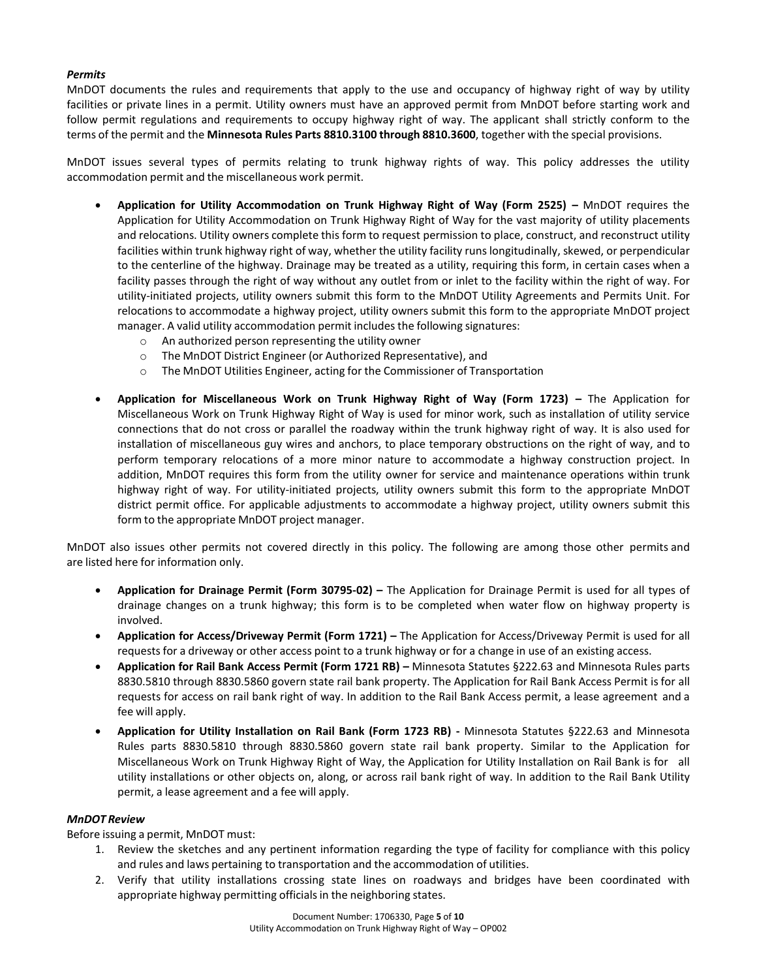#### *Permits*

MnDOT documents the rules and requirements that apply to the use and occupancy of highway right of way by utility facilities or private lines in a permit. Utility owners must have an approved permit from MnDOT before starting work and follow permit regulations and requirements to occupy highway right of way. The applicant shall strictly conform to the terms of the permit and the **Minnesota Rules Parts 8810.3100 through 8810.3600**, together with the special provisions.

MnDOT issues several types of permits relating to trunk highway rights of way. This policy addresses the utility accommodation permit and the miscellaneous work permit.

- **Application for Utility Accommodation on Trunk Highway Right of Way (Form 2525) –** MnDOT requires the Application for Utility Accommodation on Trunk Highway Right of Way for the vast majority of utility placements and relocations. Utility owners complete this form to request permission to place, construct, and reconstruct utility facilities within trunk highway right of way, whether the utility facility runslongitudinally, skewed, or perpendicular to the centerline of the highway. Drainage may be treated as a utility, requiring this form, in certain cases when a facility passes through the right of way without any outlet from or inlet to the facility within the right of way. For utility-initiated projects, utility owners submit this form to the MnDOT Utility Agreements and Permits Unit. For relocations to accommodate a highway project, utility owners submit this form to the appropriate MnDOT project manager. A valid utility accommodation permit includesthe following signatures:
	- o An authorized person representing the utility owner
	- o The MnDOT District Engineer (or Authorized Representative), and
	- o The MnDOT Utilities Engineer, acting for the Commissioner of Transportation
- **Application for Miscellaneous Work on Trunk Highway Right of Way (Form 1723) –** The Application for Miscellaneous Work on Trunk Highway Right of Way is used for minor work, such as installation of utility service connections that do not cross or parallel the roadway within the trunk highway right of way. It is also used for installation of miscellaneous guy wires and anchors, to place temporary obstructions on the right of way, and to perform temporary relocations of a more minor nature to accommodate a highway construction project. In addition, MnDOT requires this form from the utility owner for service and maintenance operations within trunk highway right of way. For utility-initiated projects, utility owners submit this form to the appropriate MnDOT district permit office. For applicable adjustments to accommodate a highway project, utility owners submit this form to the appropriate MnDOT project manager.

MnDOT also issues other permits not covered directly in this policy. The following are among those other permits and are listed here for information only.

- **Application for Drainage Permit (Form 30795-02) –** The Application for Drainage Permit is used for all types of drainage changes on a trunk highway; this form is to be completed when water flow on highway property is involved.
- **Application for Access/Driveway Permit (Form 1721) –** The Application for Access/Driveway Permit is used for all requestsfor a driveway or other access point to a trunk highway or for a change in use of an existing access.
- **Application for Rail Bank Access Permit (Form 1721 RB) –** Minnesota Statutes §222.63 and Minnesota Rules parts 8830.5810 through 8830.5860 govern state rail bank property. The Application for Rail Bank Access Permit is for all requests for access on rail bank right of way. In addition to the Rail Bank Access permit, a lease agreement and a fee will apply.
- **Application for Utility Installation on Rail Bank (Form 1723 RB) -** Minnesota Statutes §222.63 and Minnesota Rules parts 8830.5810 through 8830.5860 govern state rail bank property. Similar to the Application for Miscellaneous Work on Trunk Highway Right of Way, the Application for Utility Installation on Rail Bank is for all utility installations or other objects on, along, or across rail bank right of way. In addition to the Rail Bank Utility permit, a lease agreement and a fee will apply.

#### *MnDOT Review*

Before issuing a permit, MnDOT must:

- 1. Review the sketches and any pertinent information regarding the type of facility for compliance with this policy and rules and laws pertaining to transportation and the accommodation of utilities.
- 2. Verify that utility installations crossing state lines on roadways and bridges have been coordinated with appropriate highway permitting officials in the neighboring states.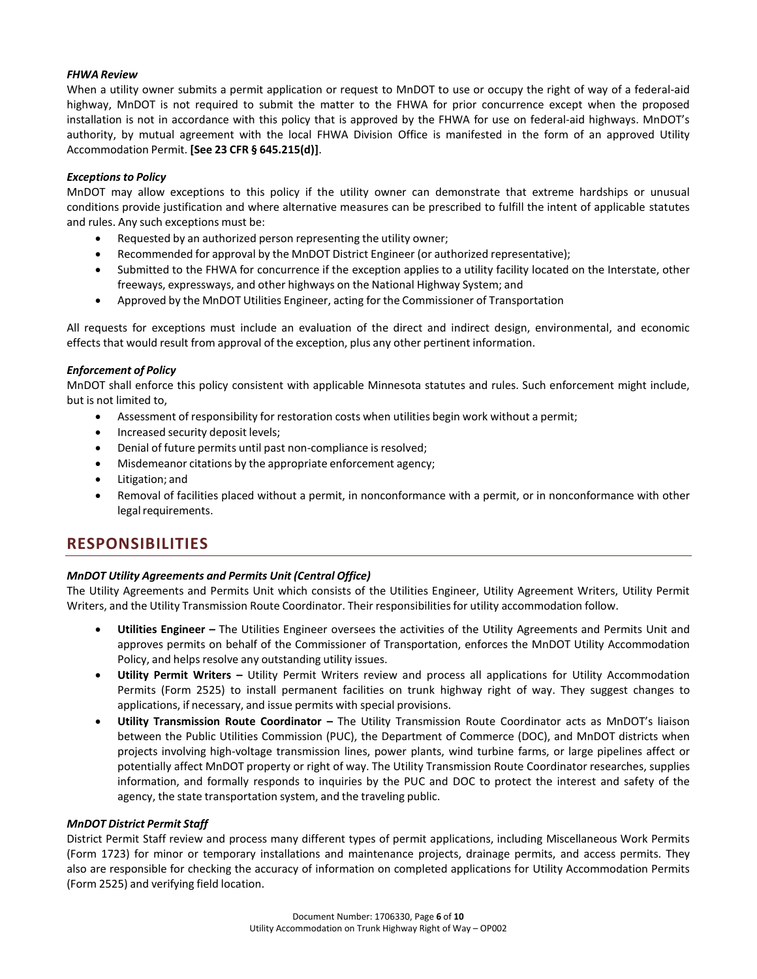#### *FHWA Review*

When a utility owner submits a permit application or request to MnDOT to use or occupy the right of way of a federal-aid highway, MnDOT is not required to submit the matter to the FHWA for prior concurrence except when the proposed installation is not in accordance with this policy that is approved by the FHWA for use on federal-aid highways. MnDOT's authority, by mutual agreement with the local FHWA Division Office is manifested in the form of an approved Utility Accommodation Permit. **[See 23 CFR § 645.215(d)]**.

#### *Exceptions to Policy*

MnDOT may allow exceptions to this policy if the utility owner can demonstrate that extreme hardships or unusual conditions provide justification and where alternative measures can be prescribed to fulfill the intent of applicable statutes and rules. Any such exceptions must be:

- Requested by an authorized person representing the utility owner;
- Recommended for approval by the MnDOT District Engineer (or authorized representative);
- Submitted to the FHWA for concurrence if the exception applies to a utility facility located on the Interstate, other freeways, expressways, and other highways on the National Highway System; and
- Approved by the MnDOT Utilities Engineer, acting for the Commissioner of Transportation

All requests for exceptions must include an evaluation of the direct and indirect design, environmental, and economic effects that would result from approval of the exception, plus any other pertinent information.

#### *Enforcement of Policy*

MnDOT shall enforce this policy consistent with applicable Minnesota statutes and rules. Such enforcement might include, but is not limited to,

- Assessment of responsibility for restoration costs when utilities begin work without a permit;
- Increased security deposit levels;
- Denial of future permits until past non-compliance is resolved;
- Misdemeanor citations by the appropriate enforcement agency;
- Litigation; and
- Removal of facilities placed without a permit, in nonconformance with a permit, or in nonconformance with other legal requirements.

### **RESPONSIBILITIES**

#### *MnDOT Utility Agreements and Permits Unit (Central Office)*

The Utility Agreements and Permits Unit which consists of the Utilities Engineer, Utility Agreement Writers, Utility Permit Writers, and the Utility Transmission Route Coordinator. Their responsibilitiesfor utility accommodation follow.

- **Utilities Engineer –** The Utilities Engineer oversees the activities of the Utility Agreements and Permits Unit and approves permits on behalf of the Commissioner of Transportation, enforces the MnDOT Utility Accommodation Policy, and helps resolve any outstanding utility issues.
- **Utility Permit Writers –** Utility Permit Writers review and process all applications for Utility Accommodation Permits (Form 2525) to install permanent facilities on trunk highway right of way. They suggest changes to applications, if necessary, and issue permits with special provisions.
- **Utility Transmission Route Coordinator –** The Utility Transmission Route Coordinator acts as MnDOT's liaison between the Public Utilities Commission (PUC), the Department of Commerce (DOC), and MnDOT districts when projects involving high-voltage transmission lines, power plants, wind turbine farms, or large pipelines affect or potentially affect MnDOT property or right of way. The Utility Transmission Route Coordinator researches, supplies information, and formally responds to inquiries by the PUC and DOC to protect the interest and safety of the agency, the state transportation system, and the traveling public.

#### *MnDOT District Permit Staff*

District Permit Staff review and process many different types of permit applications, including Miscellaneous Work Permits (Form 1723) for minor or temporary installations and maintenance projects, drainage permits, and access permits. They also are responsible for checking the accuracy of information on completed applications for Utility Accommodation Permits (Form 2525) and verifying field location.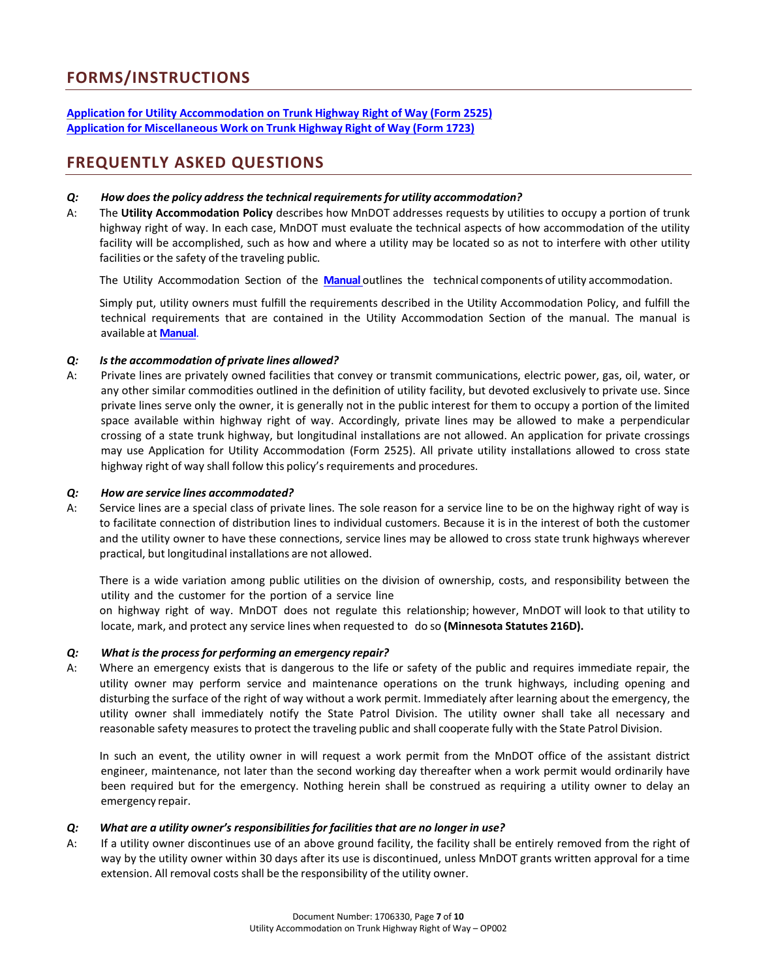### **FORMS/INSTRUCTIONS**

#### **Application for Utility [Accommodation](http://dotapp7.dot.state.mn.us/cyberdocs_guest/quickstart.asp?show=view%3A1397173&noframes=yes) on Trunk Highway Right of Way (Form 2525) Application for [Miscellaneous](http://dotapp7.dot.state.mn.us/cyberdocs_guest/quickstart.asp?show=view%3A1397174&noframes=yes) Work on Trunk Highway Right of Way (Form 1723)**

### **FREQUENTLY ASKED QUESTIONS**

#### *Q: How does the policy address the technical requirements for utility accommodation?*

A: The **Utility Accommodation Policy** describes how MnDOT addresses requests by utilities to occupy a portion of trunk highway right of way. In each case, MnDOT must evaluate the technical aspects of how accommodation of the utility facility will be accomplished, such as how and where a utility may be located so as not to interfere with other utility facilities or the safety of the traveling public.

The Utility Accommodation Section of the **[Manual](http://dotapp7.dot.state.mn.us/cyberdocs_guest/quickstart.asp?show=view%3A1706321&noframes=yes)** outlines the technical components of utility accommodation.

Simply put, utility owners must fulfill the requirements described in the Utility Accommodation Policy, and fulfill the technical requirements that are contained in the Utility Accommodation Section of the manual. The manual is available at **[Manual](http://dotapp7.dot.state.mn.us/cyberdocs_guest/quickstart.asp?show=view%3A1706321&noframes=yes)**.

#### *Q: Isthe accommodation of private lines allowed?*

A: Private lines are privately owned facilities that convey or transmit communications, electric power, gas, oil, water, or any other similar commodities outlined in the definition of utility facility, but devoted exclusively to private use. Since private lines serve only the owner, it is generally not in the public interest for them to occupy a portion of the limited space available within highway right of way. Accordingly, private lines may be allowed to make a perpendicular crossing of a state trunk highway, but longitudinal installations are not allowed. An application for private crossings may use Application for Utility Accommodation (Form 2525). All private utility installations allowed to cross state highway right of way shall follow this policy's requirements and procedures.

#### *Q: How are service lines accommodated?*

A: Service lines are a special class of private lines. The sole reason for a service line to be on the highway right of way is to facilitate connection of distribution lines to individual customers. Because it is in the interest of both the customer and the utility owner to have these connections, service lines may be allowed to cross state trunk highways wherever practical, but longitudinal installations are not allowed.

There is a wide variation among public utilities on the division of ownership, costs, and responsibility between the utility and the customer for the portion of a service line

on highway right of way. MnDOT does not regulate this relationship; however, MnDOT will look to that utility to locate, mark, and protect any service lines when requested to do so **(Minnesota Statutes 216D).**

#### *Q: What is the process for performing an emergency repair?*

A: Where an emergency exists that is dangerous to the life or safety of the public and requires immediate repair, the utility owner may perform service and maintenance operations on the trunk highways, including opening and disturbing the surface of the right of way without a work permit. Immediately after learning about the emergency, the utility owner shall immediately notify the State Patrol Division. The utility owner shall take all necessary and reasonable safety measures to protect the traveling public and shall cooperate fully with the State Patrol Division.

In such an event, the utility owner in will request a work permit from the MnDOT office of the assistant district engineer, maintenance, not later than the second working day thereafter when a work permit would ordinarily have been required but for the emergency. Nothing herein shall be construed as requiring a utility owner to delay an emergency repair.

#### *Q: What are a utility owner's responsibilities for facilities that are no longer in use?*

A: If a utility owner discontinues use of an above ground facility, the facility shall be entirely removed from the right of way by the utility owner within 30 days after its use is discontinued, unless MnDOT grants written approval for a time extension. All removal costs shall be the responsibility of the utility owner.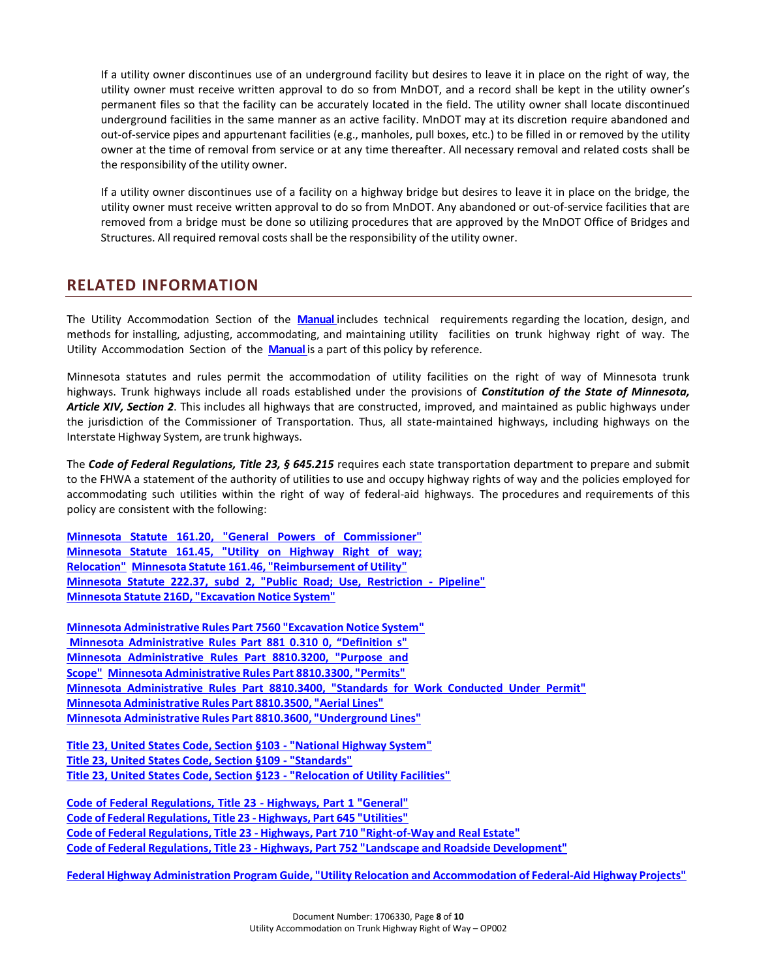If a utility owner discontinues use of an underground facility but desires to leave it in place on the right of way, the utility owner must receive written approval to do so from MnDOT, and a record shall be kept in the utility owner's permanent files so that the facility can be accurately located in the field. The utility owner shall locate discontinued underground facilities in the same manner as an active facility. MnDOT may at its discretion require abandoned and out-of-service pipes and appurtenant facilities (e.g., manholes, pull boxes, etc.) to be filled in or removed by the utility owner at the time of removal from service or at any time thereafter. All necessary removal and related costs shall be the responsibility of the utility owner.

If a utility owner discontinues use of a facility on a highway bridge but desires to leave it in place on the bridge, the utility owner must receive written approval to do so from MnDOT. Any abandoned or out-of-service facilities that are removed from a bridge must be done so utilizing procedures that are approved by the MnDOT Office of Bridges and Structures. All required removal costs shall be the responsibility of the utility owner.

### **RELATED INFORMATION**

The Utility Accommodation Section of the **[Manual](http://dotapp7.dot.state.mn.us/cyberdocs_guest/quickstart.asp?show=view%3A1706321&noframes=yes)** includes technical requirements regarding the location, design, and methods for installing, adjusting, accommodating, and maintaining utility facilities on trunk highway right of way. The Utility Accommodation Section of the **[Manual](http://dotapp7.dot.state.mn.us/cyberdocs_guest/quickstart.asp?show=view%3A1706321&noframes=yes)** is a part of this policy by reference.

Minnesota statutes and rules permit the accommodation of utility facilities on the right of way of Minnesota trunk highways. Trunk highways include all roads established under the provisions of *Constitution of the State of Minnesota, Article XIV, Section 2*. This includes all highways that are constructed, improved, and maintained as public highways under the jurisdiction of the Commissioner of Transportation. Thus, all state-maintained highways, including highways on the Interstate Highway System, are trunk highways.

The *Code of Federal Regulations, Title 23, § 645.215* requires each state transportation department to prepare and submit to the FHWA a statement of the authority of utilities to use and occupy highway rights of way and the policies employed for accommodating such utilities within the right of way of federal-aid highways. The procedures and requirements of this policy are consistent with the following:

**Minnesota Statute 161.20, "General Powers of [Commissioner"](https://www.revisor.leg.state.mn.us/statutes/?id=161.20) [Minnesota](https://www.revisor.leg.state.mn.us/statutes/?id=161.45) Statute 161.45, "Utility on Highway Right of way; [Relocation"](https://www.revisor.leg.state.mn.us/statutes/?id=161.45) Minnesota Statute 161.46, ["Reimbursement](https://www.revisor.leg.state.mn.us/statutes/?id=161.46) of Utility" Minnesota Statute 222.37, subd 2, "Public Road; Use, [Restriction](https://www.revisor.leg.state.mn.us/statutes/?id=222.37) - Pipeline" Minnesota Statute 216D, ["Excavation](https://www.revisor.mn.gov/statutes/?id=216D) Notice System"**

**Minnesota [Administrative](https://www.revisor.mn.gov/rules/?id=7560) Rules Part 7560 "Excavation Notice System" [Minnesota Administrative Rules Part 881 0.310 0, "Definition s"](https://www.revisor.mn.gov/rules/?id=8810.3100)  Minnesota [Administrative](https://www.revisor.leg.state.mn.us/rules/?id=8810.3200) Rules Part 8810.3200, "Purpose and [Scope"](https://www.revisor.leg.state.mn.us/rules/?id=8810.3200) Minnesota [Administrative](https://www.revisor.mn.gov/rules/?id=8810.3300) Rules Part 8810.3300, "Permits" Minnesota [Administrative](https://www.revisor.mn.gov/rules/?id=8810.3400) Rules Part 8810.3400, "Standards for Work Conducted Under Permit["](https://www.revisor.leg.state.mn.us/rules/?id=8810.3500) Minnesota [Administrative](https://www.revisor.leg.state.mn.us/rules/?id=8810.3500) Rules Part 8810.3500, "Aerial Lines" Minnesota [Administrative](https://www.revisor.mn.gov/rules/?id=8810.3600) Rules Part 8810.3600, "Underground Lines"**

**[Title 23, United States Code, Section §103 -](https://www.fhwa.dot.gov/map21/docs/title23usc.pdf) "National Highway System" [Title 23, United States Code, Section §109 -](https://www.fhwa.dot.gov/map21/docs/title23usc.pdf) "Standards" [Title 23, United States Code, Section §123 -](https://www.fhwa.dot.gov/map21/docs/title23usc.pdf) "Relocation of Utility Facilities"**

**Code of Federal [Regulations,](http://www.ecfr.gov/cgi-bin/text-idx?c=ecfr&SID=ae88174b1cc30395b1eff1ee76199ac5&rgn=div5&view=text&node=23%3A1.0.1.1.1&idno=23) Title 23 - Highways, Part 1 "General["](http://www.ecfr.gov/cgi-bin/text-idx?c=ecfr&sid=4326b3462801c075d9d260366f1f811e&rgn=div5&view=text&node=23%3A1.0.1.7.26&idno=23&_top) Code of Federal [Regulations,](http://www.ecfr.gov/cgi-bin/text-idx?c=ecfr&sid=4326b3462801c075d9d260366f1f811e&rgn=div5&view=text&node=23%3A1.0.1.7.26&idno=23&_top) Title 23 - Highways, Part 645 "Utilities" Code of Federal Regulations, Title 23 - Highways, Part 710 ["Right-of-Way](http://www.ecfr.gov/cgi-bin/text-idx?c=ecfr&SID=ae88174b1cc30395b1eff1ee76199ac5&rgn=div5&view=text&node=23%3A1.0.1.8.39&idno=23) and Real Estate" Code of Federal Regulations, Title 23 - Highways, Part 752 "Landscape and Roadside [Development"](http://www.ecfr.gov/cgi-bin/text-idx?c=ecfr&SID=ae88174b1cc30395b1eff1ee76199ac5&rgn=div5&view=text&node=23%3A1.0.1.8.42&idno=23)**

**Federal Highway Administration Program Guide, "Utility Relocation and [Accommodation](http://www.fhwa.dot.gov/reports/utilguid/) of Federal-Aid Highway Projects"**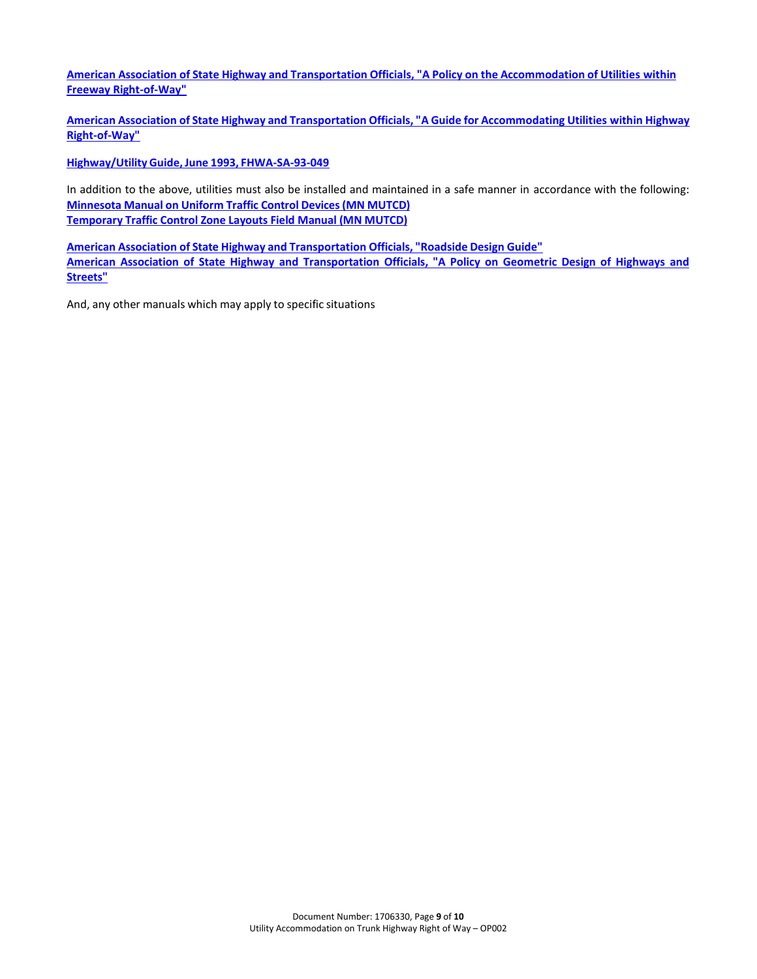**[American Association of State Highway and Transportation Officials, "A Policy on the Accommodation of Utilities within](https://bookstore.transportation.org/item_details.aspx?ID=1361) [Freeway Right-of-Way"](https://bookstore.transportation.org/item_details.aspx?ID=1361)**

**[American Association of State Highway and Transportation Officials, "A Guide for Accommodating Utilities within](https://bookstore.transportation.org/item_details.aspx?ID=1362) Highway [Right-of-Way"](https://bookstore.transportation.org/item_details.aspx?ID=1362)**

**[Highway/UtilityGuide,](http://www.fhwa.dot.gov/programadmin/utility.cfm) June 1993, FHWA-SA-93-049**

In addition to the above, utilities must also be installed and maintained in a safe manner in accordance with the following: **Minnesota Manual on Uniform Traffic Control [Devices\(MN](http://www.dot.state.mn.us/trafficeng/publ/mutcd/) MUTCD) [Temporary Traffic Control Zone Layouts Field](http://www.dot.state.mn.us/trafficeng/publ/fieldmanual/index.html) Manual (MN MUTCD)**

**American Association of State Highway and [Transportation](https://bookstore.transportation.org/item_details.aspx?id=1802) Officials, "Roadside Design Guide"** American Association of State Highway and [Transportation](https://bookstore.transportation.org/collection_detail.aspx?id=110) Officials, "A Policy on Geometric Design of Highways an[d](https://bookstore.transportation.org/collection_detail.aspx?id=110) **[Streets"](https://bookstore.transportation.org/collection_detail.aspx?id=110)**

And, any other manuals which may apply to specific situations